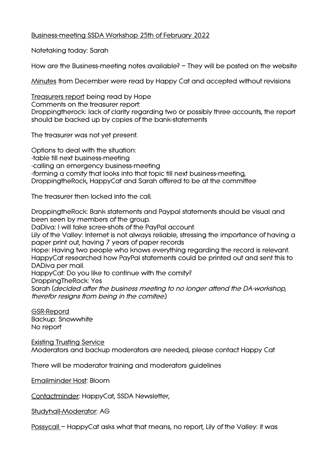# **Business-meeting SSDA Workshop 25th of February 2022**

**Notetaking today: Sarah**

**How are the Business-meeting notes available? – They will be posted on the website**

**Minutes from December were read by Happy Cat and accepted without revisions**

**Treasurers report being read by Hope Comments on the treasurer report: Droppingtherock: lack of clarity regarding two or possibly three accounts, the report should be backed up by copies of the bank-statements**

**The treasurer was not yet present.**

**Options to deal with the situation: -table till next business-meeting -calling an emergency business-meeting -forming a comity that looks into that topic till next business-meeting, DroppingtheRock, HappyCat and Sarah offered to be at the committee** 

**The treasurer then locked into the call.** 

**DroppingtheRock: Bank statements and Paypal statements should be visual and been seen by members of the group.**

**DaDiva: I will take scree-shots of the PayPal account.**

**Lily of the Valley: Internet is not always reliable, stressing the importance of having a paper print out, having 7 years of paper records**

**Hope: Having two people who knows everything regarding the record is relevant. HappyCat researched how PayPal statements could be printed out and sent this to DADiva per mail.**

**HappyCat: Do you like to continue with the comity?**

**DroppingTheRock: Yes**

**Sarah (decided after the business meeting to no longer attend the DA-workshop, therefor resigns from being in the comitee.)** 

**GSR-Repord Backup: Snowwhite No report**

**Existing Trusting Service Moderators and backup moderators are needed, please contact Happy Cat**

**There will be moderator training and moderators guidelines**

**Emailminder Host: Bloom** 

**Contactminder: HappyCat, SSDA Newsletter,** 

**Studyhall-Moderator: AG**

**Possycall – HappyCat asks what that means, no report, Lily of the Valley: it was**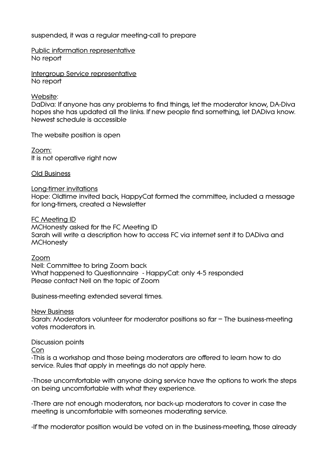### **suspended, it was a regular meeting-call to prepare**

**Public information representative No report**

**Intergroup Service representative No report**

### **Website:**

**DaDiva: If anyone has any problems to find things, let the moderator know, DA-Diva hopes she has updated all the links. If new people find something, let DADiva know. Newest schedule is accessible** 

**The website position is open**

**Zoom: It is not operative right now**

**Old Business**

**Long-timer invitations Hope: Oldtime invited back, HappyCat formed the committee, included a message for long-timers, created a Newsletter**

**FC Meeting ID MCHonesty asked for the FC Meeting ID Sarah will write a description how to access FC via internet sent it to DADiva and MCHonesty**

**Zoom Nell: Committee to bring Zoom back What happened to Questionnaire - HappyCat: only 4-5 responded Please contact Nell on the topic of Zoom** 

**Business-meeting extended several times.**

**New Business**

**Sarah: Moderators volunteer for moderator positions so far – The business-meeting votes moderators in.**

**Discussion points**

**Con**

**-This is a workshop and those being moderators are offered to learn how to do service. Rules that apply in meetings do not apply here.** 

**-Those uncomfortable with anyone doing service have the options to work the steps on being uncomfortable with what they experience.**

**-There are not enough moderators, nor back-up moderators to cover in case the meeting is uncomfortable with someones moderating service.** 

**-If the moderator position would be voted on in the business-meeting, those already**